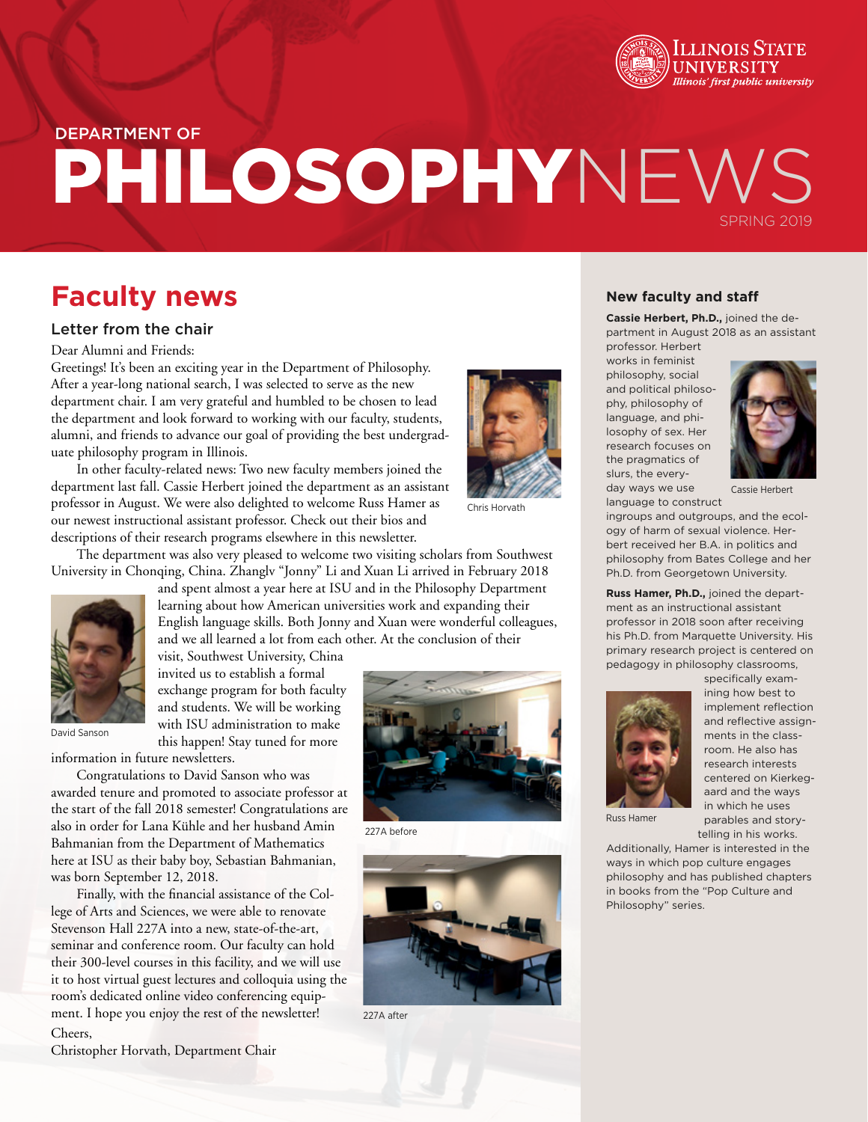

# PHILOSOPHYNEW SPRING 2019 DEPARTMENT OF

## **Faculty news**

#### Letter from the chair

Dear Alumni and Friends:

Greetings! It's been an exciting year in the Department of Philosophy. After a year-long national search, I was selected to serve as the new department chair. I am very grateful and humbled to be chosen to lead the department and look forward to working with our faculty, students, alumni, and friends to advance our goal of providing the best undergraduate philosophy program in Illinois.

In other faculty-related news: Two new faculty members joined the department last fall. Cassie Herbert joined the department as an assistant professor in August. We were also delighted to welcome Russ Hamer as our newest instructional assistant professor. Check out their bios and descriptions of their research programs elsewhere in this newsletter.



Chris Horvath

The department was also very pleased to welcome two visiting scholars from Southwest University in Chonqing, China. Zhanglv "Jonny" Li and Xuan Li arrived in February 2018



and spent almost a year here at ISU and in the Philosophy Department learning about how American universities work and expanding their English language skills. Both Jonny and Xuan were wonderful colleagues, and we all learned a lot from each other. At the conclusion of their

visit, Southwest University, China invited us to establish a formal exchange program for both faculty and students. We will be working with ISU administration to make this happen! Stay tuned for more

information in future newsletters.

Congratulations to David Sanson who was awarded tenure and promoted to associate professor at the start of the fall 2018 semester! Congratulations are also in order for Lana Kühle and her husband Amin Bahmanian from the Department of Mathematics here at ISU as their baby boy, Sebastian Bahmanian, was born September 12, 2018.

Finally, with the financial assistance of the College of Arts and Sciences, we were able to renovate Stevenson Hall 227A into a new, state-of-the-art, seminar and conference room. Our faculty can hold their 300-level courses in this facility, and we will use it to host virtual guest lectures and colloquia using the room's dedicated online video conferencing equipment. I hope you enjoy the rest of the newsletter! Cheers,

227A before



227A after

### **New faculty and staff**

**Cassie Herbert, Ph.D.,** joined the department in August 2018 as an assistant professor. Herbert

works in feminist philosophy, social and political philosophy, philosophy of language, and philosophy of sex. Her research focuses on the pragmatics of slurs, the everyday ways we use language to construct



Cassie Herbert

ingroups and outgroups, and the ecology of harm of sexual violence. Herbert received her B.A. in politics and philosophy from Bates College and her Ph.D. from Georgetown University.

**Russ Hamer, Ph.D.,** joined the department as an instructional assistant professor in 2018 soon after receiving his Ph.D. from Marquette University. His primary research project is centered on pedagogy in philosophy classrooms,



specifically examining how best to implement reflection and reflective assignments in the classroom. He also has research interests centered on Kierkegaard and the ways in which he uses parables and storytelling in his works.

Russ Hamer

Additionally, Hamer is interested in the ways in which pop culture engages philosophy and has published chapters in books from the "Pop Culture and Philosophy" series.

Christopher Horvath, Department Chair